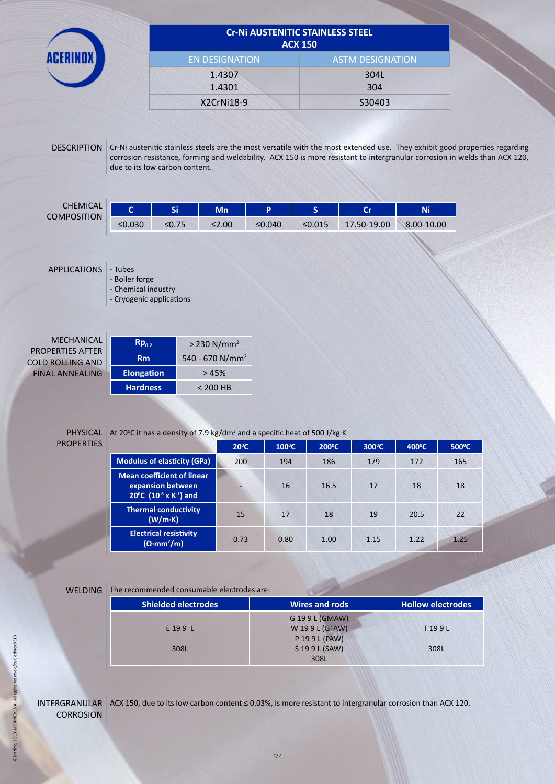|                                                                                            | <b>Cr-Ni AUSTENITIC STAINLESS STEEL</b><br><b>ACX 150</b>                                                |                                           |                                                       |                 |                                        |             |            |                                                                                                                                                                                                                                                           |  |
|--------------------------------------------------------------------------------------------|----------------------------------------------------------------------------------------------------------|-------------------------------------------|-------------------------------------------------------|-----------------|----------------------------------------|-------------|------------|-----------------------------------------------------------------------------------------------------------------------------------------------------------------------------------------------------------------------------------------------------------|--|
|                                                                                            |                                                                                                          | <b>EN DESIGNATION</b><br>1.4307<br>1.4301 |                                                       |                 | <b>ASTM DESIGNATION</b><br>304L<br>304 |             |            |                                                                                                                                                                                                                                                           |  |
|                                                                                            |                                                                                                          |                                           |                                                       |                 |                                        |             |            |                                                                                                                                                                                                                                                           |  |
|                                                                                            |                                                                                                          |                                           | X2CrNi18-9                                            |                 | S30403                                 |             |            |                                                                                                                                                                                                                                                           |  |
| <b>DESCRIPTION</b>                                                                         | due to its low carbon content.                                                                           |                                           |                                                       |                 |                                        |             |            | Cr-Ni austenitic stainless steels are the most versatile with the most extended use. They exhibit good properties regarding<br>corrosion resistance, forming and weldability. ACX 150 is more resistant to intergranular corrosion in welds than ACX 120, |  |
| <b>CHEMICAL</b><br><b>COMPOSITION</b>                                                      | $\mathbf{C}$                                                                                             | Si                                        | Mn                                                    | P               | S                                      | Cr          | <b>Ni</b>  |                                                                                                                                                                                                                                                           |  |
|                                                                                            | ≤0.030                                                                                                   | ≤0.75                                     | ≤2.00                                                 | ≤0.040          | ≤0.015                                 | 17.50-19.00 | 8.00-10.00 |                                                                                                                                                                                                                                                           |  |
| MECHANICAL<br><b>PROPERTIES AFTER</b><br><b>COLD ROLLING AND</b><br><b>FINAL ANNEALING</b> | - Chemical industry<br>- Cryogenic applications<br>$\mathsf{Rp}_{0.2}$<br><b>Rm</b><br><b>Elongation</b> |                                           | $> 230 N/mm^2$<br>540 - 670 N/mm <sup>2</sup><br>>45% |                 |                                        |             |            |                                                                                                                                                                                                                                                           |  |
|                                                                                            | <b>Hardness</b>                                                                                          |                                           | $< 200$ HB                                            |                 |                                        |             |            |                                                                                                                                                                                                                                                           |  |
|                                                                                            | PHYSICAL At 20°C it has a density of 7.9 kg/dm <sup>3</sup> and a specific heat of 500 J/kg·K            |                                           |                                                       |                 |                                        |             |            |                                                                                                                                                                                                                                                           |  |
| <b>PROPERTIES</b>                                                                          |                                                                                                          |                                           | $20^{\circ}$ C                                        | $100^{\circ}$ C | 200°C                                  | 300°C       | 400°C      | 500°C                                                                                                                                                                                                                                                     |  |
|                                                                                            |                                                                                                          |                                           |                                                       |                 |                                        |             |            |                                                                                                                                                                                                                                                           |  |
|                                                                                            |                                                                                                          | <b>Modulus of elasticity (GPa)</b>        | 200                                                   | 194             | 186                                    | 179         | 172        | 165                                                                                                                                                                                                                                                       |  |

**(W/m·K)** <sup>15</sup> <sup>17</sup> <sup>18</sup> <sup>19</sup> 20.5 <sup>22</sup>

**Shielded electrodes Hollow electrodes Wires and rods Hollow electrodes** 

G 19 9 L (GMAW) W 19 9 L (GTAW) P 19 9 L (PAW) S 19 9 L (SAW) 308L

T 19 9 L

308L

**/m)** 0.73 0.80 1.00 1.15 1.22 1.25

©Madrid, 2013 ACERINOX, S.A. All rights reserved/by Cedinox0313 ©Madrid, 2013 ACERINOX, S.A. All rights reserved/by Cedinox0313

INTERGRANULAR ACX 150, due to its low carbon content ≤ 0.03%, is more resistant to intergranular corrosion than ACX 120. **CORROSION** 

**200 C (10-6 x K-1) and**

**Thermal conductivity**

**Electrical resistivity (Ω·mm<sup>2</sup>**

WELDING The recommended consumable electrodes are:

E 19 9 L

308L